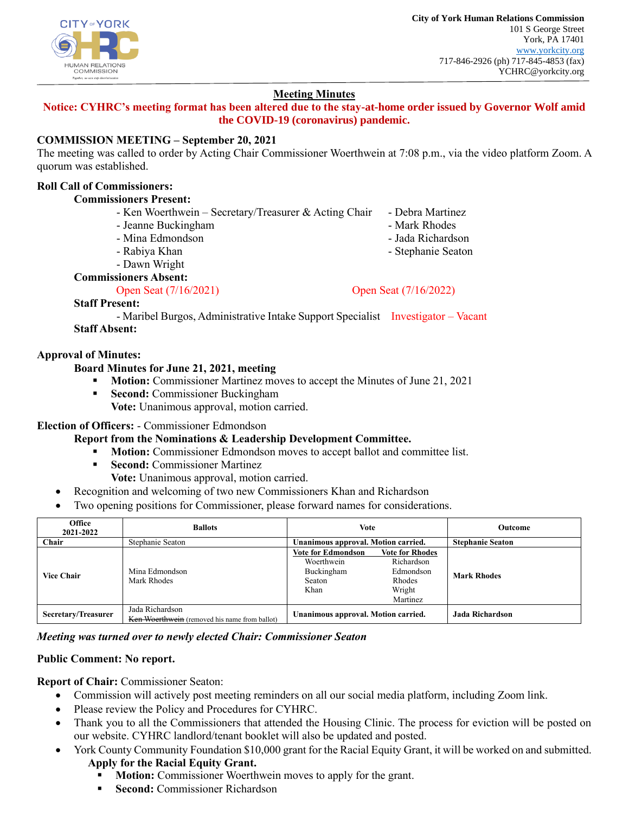

# **Meeting Minutes**

**Notice: CYHRC's meeting format has been altered due to the stay-at-home order issued by Governor Wolf amid the COVID-19 (coronavirus) pandemic.**

## **COMMISSION MEETING – September 20, 2021**

The meeting was called to order by Acting Chair Commissioner Woerthwein at 7:08 p.m., via the video platform Zoom. A quorum was established.

# **Roll Call of Commissioners:**

## **Commissioners Present:**

| - Ken Woerthwein – Secretary/Treasurer & Acting Chair | - Debra Martinez  |
|-------------------------------------------------------|-------------------|
| - Jeanne Buckingham                                   | - Mark Rhodes     |
| - Mina Edmondson                                      | - Jada Richardson |

- Rabiya Khan
- Dawn Wright

**Commissioners Absent:**

Open Seat (7/16/2021) Open Seat (7/16/2022)

- Stephanie Seaton

**Staff Present:**

- Maribel Burgos, Administrative Intake Support Specialist Investigator – Vacant **Staff Absent:**

## **Approval of Minutes:**

## **Board Minutes for June 21, 2021, meeting**

- **Motion:** Commissioner Martinez moves to accept the Minutes of June 21, 2021
- **Execond:** Commissioner Buckingham

**Vote:** Unanimous approval, motion carried.

## **Election of Officers:** - Commissioner Edmondson

## **Report from the Nominations & Leadership Development Committee.**

- **Motion:** Commissioner Edmondson moves to accept ballot and committee list.
- **Second:** Commissioner Martinez
	- **Vote:** Unanimous approval, motion carried.
- Recognition and welcoming of two new Commissioners Khan and Richardson
- Two opening positions for Commissioner, please forward names for considerations.

| Office<br>2021-2022 | <b>Ballots</b>                                                   | Vote                                                                    |                                                                                          | Outcome                 |
|---------------------|------------------------------------------------------------------|-------------------------------------------------------------------------|------------------------------------------------------------------------------------------|-------------------------|
| Chair               | Stephanie Seaton                                                 | Unanimous approval. Motion carried.                                     |                                                                                          | <b>Stephanie Seaton</b> |
| <b>Vice Chair</b>   | Mina Edmondson<br>Mark Rhodes                                    | <b>Vote for Edmondson</b><br>Woerthwein<br>Buckingham<br>Seaton<br>Khan | <b>Vote for Rhodes</b><br>Richardson<br>Edmondson<br><b>Rhodes</b><br>Wright<br>Martinez | <b>Mark Rhodes</b>      |
| Secretary/Treasurer | Jada Richardson<br>Ken Woerthwein (removed his name from ballot) | Unanimous approval. Motion carried.                                     |                                                                                          | Jada Richardson         |

## *Meeting was turned over to newly elected Chair: Commissioner Seaton*

## **Public Comment: No report.**

**Report of Chair:** Commissioner Seaton:

- Commission will actively post meeting reminders on all our social media platform, including Zoom link.
- Please review the Policy and Procedures for CYHRC.
- Thank you to all the Commissioners that attended the Housing Clinic. The process for eviction will be posted on our website. CYHRC landlord/tenant booklet will also be updated and posted.
- York County Community Foundation \$10,000 grant for the Racial Equity Grant, it will be worked on and submitted. **Apply for the Racial Equity Grant.**
	- **Motion:** Commissioner Woerthwein moves to apply for the grant.
	- **Second:** Commissioner Richardson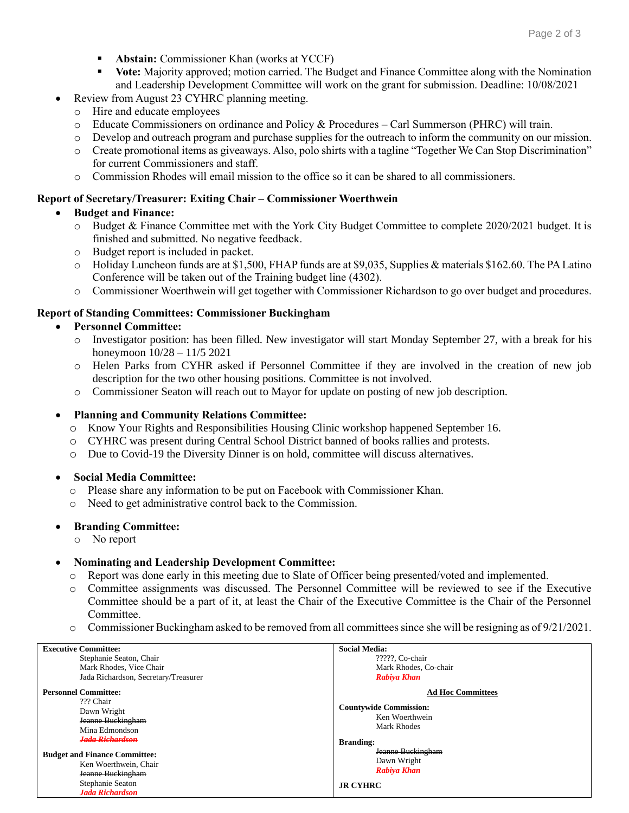- Abstain: Commissioner Khan (works at YCCF)
- **Vote:** Majority approved; motion carried. The Budget and Finance Committee along with the Nomination and Leadership Development Committee will work on the grant for submission. Deadline: 10/08/2021
- Review from August 23 CYHRC planning meeting.
- o Hire and educate employees
- o Educate Commissioners on ordinance and Policy & Procedures Carl Summerson (PHRC) will train.
- o Develop and outreach program and purchase supplies for the outreach to inform the community on our mission.
- o Create promotional items as giveaways. Also, polo shirts with a tagline "Together We Can Stop Discrimination" for current Commissioners and staff.
- o Commission Rhodes will email mission to the office so it can be shared to all commissioners.

#### **Report of Secretary/Treasurer: Exiting Chair – Commissioner Woerthwein**

## • **Budget and Finance:**

- o Budget & Finance Committee met with the York City Budget Committee to complete 2020/2021 budget. It is finished and submitted. No negative feedback.
- o Budget report is included in packet.
- o Holiday Luncheon funds are at \$1,500, FHAP funds are at \$9,035, Supplies & materials \$162.60. The PA Latino Conference will be taken out of the Training budget line (4302).
- o Commissioner Woerthwein will get together with Commissioner Richardson to go over budget and procedures.

## **Report of Standing Committees: Commissioner Buckingham**

## • **Personnel Committee:**

- o Investigator position: has been filled. New investigator will start Monday September 27, with a break for his honeymoon 10/28 – 11/5 2021
- o Helen Parks from CYHR asked if Personnel Committee if they are involved in the creation of new job description for the two other housing positions. Committee is not involved.
- o Commissioner Seaton will reach out to Mayor for update on posting of new job description.

## • **Planning and Community Relations Committee:**

- o Know Your Rights and Responsibilities Housing Clinic workshop happened September 16.
- o CYHRC was present during Central School District banned of books rallies and protests.
- o Due to Covid-19 the Diversity Dinner is on hold, committee will discuss alternatives.

#### • **Social Media Committee:**

- o Please share any information to be put on Facebook with Commissioner Khan.
- o Need to get administrative control back to the Commission.

#### • **Branding Committee:**

o No report

#### • **Nominating and Leadership Development Committee:**

- o Report was done early in this meeting due to Slate of Officer being presented/voted and implemented.
- o Committee assignments was discussed. The Personnel Committee will be reviewed to see if the Executive Committee should be a part of it, at least the Chair of the Executive Committee is the Chair of the Personnel Committee.
- $\circ$  Commissioner Buckingham asked to be removed from all committees since she will be resigning as of 9/21/2021.

| <b>Executive Committee:</b>          | <b>Social Media:</b>          |
|--------------------------------------|-------------------------------|
| Stephanie Seaton, Chair              | ?????, Co-chair               |
| Mark Rhodes, Vice Chair              | Mark Rhodes, Co-chair         |
| Jada Richardson, Secretary/Treasurer | Rabiya Khan                   |
| <b>Personnel Committee:</b>          | <b>Ad Hoc Committees</b>      |
| ??? Chair                            |                               |
| Dawn Wright                          | <b>Countywide Commission:</b> |
| Jeanne Buckingham                    | Ken Woerthwein                |
| Mina Edmondson                       | <b>Mark Rhodes</b>            |
| <b>Jada Richardson</b>               | <b>Branding:</b>              |
| <b>Budget and Finance Committee:</b> | Jeanne Buckingham             |
| Ken Woerthwein, Chair                | Dawn Wright                   |
|                                      | <b>Rabiya Khan</b>            |
| Jeanne Buckingham                    |                               |
| Stephanie Seaton                     | <b>JR CYHRC</b>               |
| <b>Jada Richardson</b>               |                               |